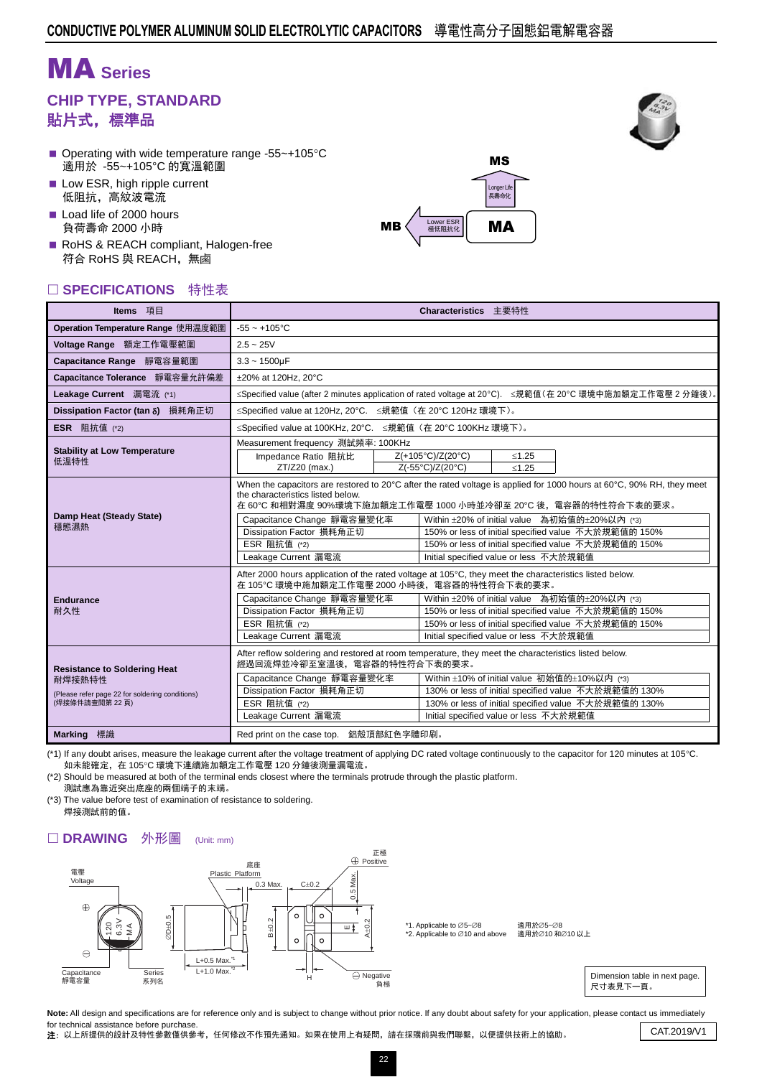# MA **Series**

## **CHIP TYPE, STANDARD** 貼片式,標準品

- Operating with wide temperature range -55 $\sim$ +105 $\degree$ C 適用於 -55~+105°C 的寬溫範圍
- Low ESR, high ripple current 低阻抗,高紋波電流
- Load life of 2000 hours 負荷壽命 2000 小時
- RoHS & REACH compliant, Halogen-free 符合 RoHS 與 REACH,無鹵

#### □ SPECIFICATIONS 特性表

| Operation Temperature Range 使用温度範圍<br>$-55 - +105$ °C<br>Voltage Range 額定工作電壓範圍<br>$2.5 - 25V$<br>Capacitance Range 靜電容量範圍<br>$3.3 - 1500 \mu F$<br>Capacitance Tolerance 靜電容量允許偏差<br>Leakage Current 漏電流 (*1) |                                                                                                                                                                                                                                                                                                                                                                                                                                                |                                                                                                                                                                                                                                                                                                                                                                                                                     |  |  |  |  |  |  |  |  |  |
|----------------------------------------------------------------------------------------------------------------------------------------------------------------------------------------------------------------|------------------------------------------------------------------------------------------------------------------------------------------------------------------------------------------------------------------------------------------------------------------------------------------------------------------------------------------------------------------------------------------------------------------------------------------------|---------------------------------------------------------------------------------------------------------------------------------------------------------------------------------------------------------------------------------------------------------------------------------------------------------------------------------------------------------------------------------------------------------------------|--|--|--|--|--|--|--|--|--|
|                                                                                                                                                                                                                |                                                                                                                                                                                                                                                                                                                                                                                                                                                |                                                                                                                                                                                                                                                                                                                                                                                                                     |  |  |  |  |  |  |  |  |  |
|                                                                                                                                                                                                                |                                                                                                                                                                                                                                                                                                                                                                                                                                                |                                                                                                                                                                                                                                                                                                                                                                                                                     |  |  |  |  |  |  |  |  |  |
|                                                                                                                                                                                                                |                                                                                                                                                                                                                                                                                                                                                                                                                                                |                                                                                                                                                                                                                                                                                                                                                                                                                     |  |  |  |  |  |  |  |  |  |
|                                                                                                                                                                                                                | ±20% at 120Hz. 20°C                                                                                                                                                                                                                                                                                                                                                                                                                            |                                                                                                                                                                                                                                                                                                                                                                                                                     |  |  |  |  |  |  |  |  |  |
|                                                                                                                                                                                                                | ≤Specified value (after 2 minutes application of rated voltaqe at 20℃). ≤規範值(在 20℃ 環境中施加額定工作電壓 2 分鐘後)。                                                                                                                                                                                                                                                                                                                                         |                                                                                                                                                                                                                                                                                                                                                                                                                     |  |  |  |  |  |  |  |  |  |
| Dissipation Factor (tan δ) 損耗角正切                                                                                                                                                                               | ≤Specified value at 120Hz, 20°C. ≤規範值 (在 20°C 120Hz 環境下)。                                                                                                                                                                                                                                                                                                                                                                                      |                                                                                                                                                                                                                                                                                                                                                                                                                     |  |  |  |  |  |  |  |  |  |
| <b>ESR</b> 阻抗值 (*2)                                                                                                                                                                                            | ≤Specified value at 100KHz, 20°C. ≤規範值 (在 20°C 100KHz 環境下)。                                                                                                                                                                                                                                                                                                                                                                                    |                                                                                                                                                                                                                                                                                                                                                                                                                     |  |  |  |  |  |  |  |  |  |
| <b>Stability at Low Temperature</b><br>低溫特性                                                                                                                                                                    | Measurement frequency 測試頻率: 100KHz<br>Z(+105°C)/Z(20°C)<br>Impedance Ratio 阻抗比<br>$≤1.25$<br>Z(-55°C)/Z(20°C)<br>ZT/Z20 (max.)<br>< 1.25                                                                                                                                                                                                                                                                                                       |                                                                                                                                                                                                                                                                                                                                                                                                                     |  |  |  |  |  |  |  |  |  |
| the characteristics listed below.<br>Damp Heat (Steady State)<br>穩態濕熱<br>Dissipation Factor 損耗角正切<br>ESR 阻抗值 (*2)<br>Leakage Current 漏電流                                                                       | Capacitance Change 靜電容量變化率                                                                                                                                                                                                                                                                                                                                                                                                                     | When the capacitors are restored to 20 $\degree$ C after the rated voltage is applied for 1000 hours at 60 $\degree$ C, 90% RH, they meet<br>在 60℃ 和相對濕度 90%環境下施加額定工作電壓 1000 小時並冷卻至 20℃ 後,電容器的特性符合下表的要求。<br>Within ±20% of initial value 為初始值的±20%以內 (*3)<br>150% or less of initial specified value 不大於規範值的 150%<br>150% or less of initial specified value 不大於規範值的 150%<br>Initial specified value or less 不大於規範值 |  |  |  |  |  |  |  |  |  |
| <b>Endurance</b><br>Dissipation Factor 損耗角正切<br>耐久性<br>ESR 阻抗值 (*2)<br>Leakage Current 漏電流                                                                                                                     | Capacitance Change 靜電容量變化率                                                                                                                                                                                                                                                                                                                                                                                                                     | After 2000 hours application of the rated voltage at 105°C, they meet the characteristics listed below.<br>在 105℃ 環境中施加額定工作電壓 2000 小時後, 電容器的特性符合下表的要求。<br>Within ±20% of initial value 為初始值的±20%以內 (*3)<br>150% or less of initial specified value 不大於規範值的 150%<br>150% or less of initial specified value 不大於規範值的 150%<br>Initial specified value or less 不大於規範值                                                   |  |  |  |  |  |  |  |  |  |
| <b>Resistance to Soldering Heat</b><br>耐焊接熱特性<br>(Please refer page 22 for soldering conditions)<br>(焊接條件請查閱第22頁)<br><b>Marking</b> 標識<br>Red print on the case top. 鋁殼頂部紅色字體印刷。                               | After reflow soldering and restored at room temperature, they meet the characteristics listed below.<br>經過回流焊並冷卻至室溫後,電容器的特性符合下表的要求。<br>Within ±10% of initial value 初始值的±10%以内 (*3)<br>Capacitance Change 靜電容量變化率<br>Dissipation Factor 損耗角正切<br>130% or less of initial specified value 不大於規範值的 130%<br>ESR 阻抗值 (*2)<br>130% or less of initial specified value 不大於規範值的 130%<br>Leakage Current 漏電流<br>Initial specified value or less 不大於規範值 |                                                                                                                                                                                                                                                                                                                                                                                                                     |  |  |  |  |  |  |  |  |  |

(\*1) If any doubt arises, measure the leakage current after the voltage treatment of applying DC rated voltage continuously to the capacitor for 120 minutes at 105°C. 如未能確定,在 105℃ 環境下連續施加額定工作電壓 120 分鐘後測量漏電流。

(\*2) Should be measured at both of the terminal ends closest where the terminals protrude through the plastic platform. 測試應為靠近突出底座的兩個端子的末端。

(\*3) The value before test of examination of resistance to soldering. 焊接測試前的值。

#### □ DRAWING 外形圖 (Unit: mm)





MS

Longer Lif 長壽命化

 $\mathbf{MB} \left\{\left\lvert \begin{array}{cl} \begin{array}{cl} \text{Lower ESR} \end{array} \end{array} \right\rvert \quad \mathbf{MA} \end{array} \right.$ 

Note: All design and specifications are for reference only and is subject to change without prior notice. If any doubt about safety for your application, please contact us immediately for technical assistance before purchase.

Tor technical assistance before purchase.<br>2: 以上所提供的設計及特性參數僅供參考,任何修改不作預先通知。如果在使用上有疑問,請在採購前與我們聯繫,以便提供技術上的協助。 CAT.2019/V1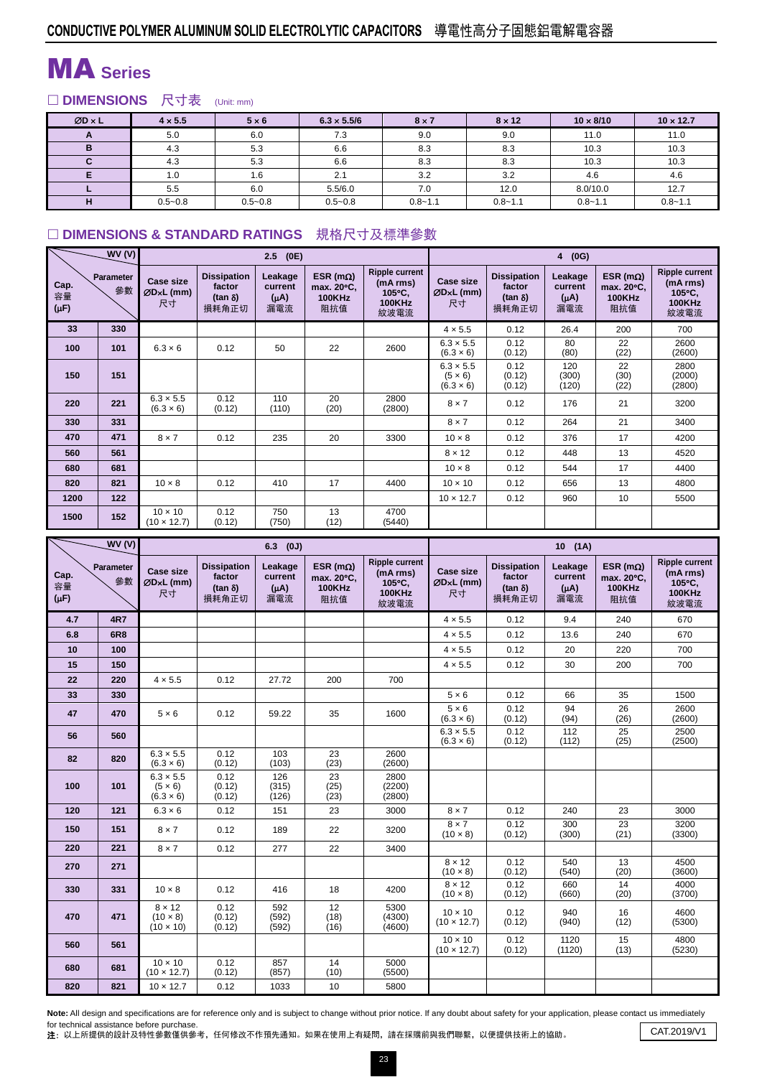## MA **Series**

### □ DIMENSIONS 尺寸表 (Unit: mm)

| $ØD \times L$ | $4 \times 5.5$ | $5 \times 6$ | $6.3 \times 5.5/6$ | $8 \times 7$ | $8 \times 12$ | $10 \times 8/10$ | $10 \times 12.7$ |
|---------------|----------------|--------------|--------------------|--------------|---------------|------------------|------------------|
| A             | 5.0            | 6.0          | 7.3                | 9.0          | 9.0           | 11.0             | 11.0             |
| B             | 4.3            | 5.3          | 6.6                | 8.3          | 8.3           | 10.3             | 10.3             |
|               | 4.3            | 5.3          | 6.6                | 8.3          | 8.3           | 10.3             | 10.3             |
|               | 1.0            | 1.6          | 2.1                | 3.2          | 3.2           | 4.6              | 4.6              |
|               | 5.5            | 6.0          | 5.5/6.0            | 7.0          | 12.0          | 8.0/10.0         | 12.7             |
| н             | $0.5 - 0.8$    | $0.5 - 0.8$  | $0.5 - 0.8$        | $0.8 - 1.1$  | $0.8 - 1.1$   | $0.8 - 1.1$      | $0.8 - 1.1$      |

### □ DIMENSIONS & STANDARD RATINGS 規格尺寸及標準參數

|                         | WV(V)           |                                      |                                                         | 2.5<br>(0E)                            |                                                         |                                                                      | (0G)<br>$\overline{4}$                                 |                                                         |                                        |                                                         |                                                                      |  |  |
|-------------------------|-----------------|--------------------------------------|---------------------------------------------------------|----------------------------------------|---------------------------------------------------------|----------------------------------------------------------------------|--------------------------------------------------------|---------------------------------------------------------|----------------------------------------|---------------------------------------------------------|----------------------------------------------------------------------|--|--|
| Cap.<br>容量<br>$(\mu F)$ | Parameter<br>參數 | Case size<br>ØD×L (mm)<br>尺寸         | <b>Dissipation</b><br>factor<br>$(tan \delta)$<br>損耗角正切 | Leakage<br>current<br>$(\mu A)$<br>漏電流 | ESR ( $m\Omega$ )<br>max. 20°C.<br><b>100KHz</b><br>阻抗值 | <b>Ripple current</b><br>(mA rms)<br>105°C.<br><b>100KHz</b><br>紋波電流 | Case size<br>$ØDxL$ (mm)<br>尺寸                         | <b>Dissipation</b><br>factor<br>$(tan \delta)$<br>損耗角正切 | Leakage<br>current<br>$(\mu A)$<br>漏電流 | ESR ( $m\Omega$ )<br>max. 20°C.<br><b>100KHz</b><br>阻抗值 | <b>Ripple current</b><br>(mA rms)<br>105°C.<br><b>100KHz</b><br>紋波電流 |  |  |
| 33                      | 330             |                                      |                                                         |                                        |                                                         |                                                                      | $4 \times 5.5$                                         | 0.12                                                    | 26.4                                   | 200                                                     | 700                                                                  |  |  |
| 100                     | 101             | $6.3 \times 6$                       | 0.12                                                    | 50                                     | 22                                                      | 2600                                                                 | $6.3 \times 5.5$<br>$(6.3 \times 6)$                   | 0.12<br>(0.12)                                          | 80<br>(80)                             | 22<br>(22)                                              | 2600<br>(2600)                                                       |  |  |
| 150                     | 151             |                                      |                                                         |                                        |                                                         |                                                                      | $6.3 \times 5.5$<br>$(5 \times 6)$<br>$(6.3 \times 6)$ | 0.12<br>(0.12)<br>(0.12)                                | 120<br>(300)<br>(120)                  | 22<br>(30)<br>(22)                                      | 2800<br>(2000)<br>(2800)                                             |  |  |
| 220                     | 221             | $6.3 \times 5.5$<br>$(6.3 \times 6)$ | 0.12<br>(0.12)                                          | 110<br>(110)                           | 20<br>(20)                                              | 2800<br>(2800)                                                       | $8 \times 7$                                           | 0.12                                                    | 176                                    | 21                                                      | 3200                                                                 |  |  |
| 330                     | 331             |                                      |                                                         |                                        |                                                         |                                                                      | $8 \times 7$                                           | 0.12                                                    | 264                                    | 21                                                      | 3400                                                                 |  |  |
| 470                     | 471             | $8 \times 7$                         | 0.12                                                    | 235                                    | 20                                                      | 3300                                                                 | $10 \times 8$                                          | 0.12                                                    | 376                                    | 17                                                      | 4200                                                                 |  |  |
| 560                     | 561             |                                      |                                                         |                                        |                                                         |                                                                      | $8 \times 12$                                          | 0.12                                                    | 448                                    | 13                                                      | 4520                                                                 |  |  |
| 680                     | 681             |                                      |                                                         |                                        |                                                         |                                                                      | $10 \times 8$                                          | 0.12                                                    | 544                                    | 17                                                      | 4400                                                                 |  |  |
| 820                     | 821             | $10 \times 8$                        | 0.12                                                    | 410                                    | 17                                                      | 4400                                                                 | $10 \times 10$                                         | 0.12                                                    | 656                                    | 13                                                      | 4800                                                                 |  |  |
| 1200                    | 122             |                                      |                                                         |                                        |                                                         |                                                                      | $10 \times 12.7$                                       | 0.12                                                    | 960                                    | 10                                                      | 5500                                                                 |  |  |
| 1500                    | 152             | $10 \times 10$<br>$(10 \times 12.7)$ | 0.12<br>(0.12)                                          | 750<br>(750)                           | 13<br>(12)                                              | 4700<br>(5440)                                                       |                                                        |                                                         |                                        |                                                         |                                                                      |  |  |

|                         | WV(V)           |                                                        |                                                         | $6.3$ (0J)                             |                                                         |                                                                      | 10(1A)                               |                                                         |                                   |                                                         |                                                                      |  |
|-------------------------|-----------------|--------------------------------------------------------|---------------------------------------------------------|----------------------------------------|---------------------------------------------------------|----------------------------------------------------------------------|--------------------------------------|---------------------------------------------------------|-----------------------------------|---------------------------------------------------------|----------------------------------------------------------------------|--|
| Cap.<br>容量<br>$(\mu F)$ | Parameter<br>參數 |                                                        | <b>Dissipation</b><br>factor<br>$(tan \delta)$<br>損耗角正切 | Leakage<br>current<br>$(\mu A)$<br>漏電流 | ESR ( $m\Omega$ )<br>max. 20°C,<br><b>100KHz</b><br>阻抗值 | <b>Ripple current</b><br>(mA rms)<br>105°C.<br><b>100KHz</b><br>紋波電流 | <b>Case size</b><br>ØDxL (mm)<br>尺寸  | <b>Dissipation</b><br>factor<br>$(tan \delta)$<br>損耗角正切 | Leakage<br>current<br>(uA)<br>漏電流 | ESR ( $m\Omega$ )<br>max. 20°C.<br><b>100KHz</b><br>阻抗值 | <b>Ripple current</b><br>(mA rms)<br>105°C,<br><b>100KHz</b><br>紋波電流 |  |
| 4.7                     | <b>4R7</b>      |                                                        |                                                         |                                        |                                                         |                                                                      | $4 \times 5.5$                       | 0.12                                                    | 9.4                               | 240                                                     | 670                                                                  |  |
| 6.8                     | <b>6R8</b>      |                                                        |                                                         |                                        |                                                         |                                                                      | $4 \times 5.5$                       | 0.12                                                    | 13.6                              | 240                                                     | 670                                                                  |  |
| 10                      | 100             |                                                        |                                                         |                                        |                                                         |                                                                      | $4 \times 5.5$                       | 0.12                                                    | 20                                | 220                                                     | 700                                                                  |  |
| 15                      | 150             |                                                        |                                                         |                                        |                                                         |                                                                      | $4 \times 5.5$                       | 0.12                                                    | 30                                | 200                                                     | 700                                                                  |  |
| 22                      | 220             | $4 \times 5.5$                                         | 0.12                                                    | 27.72                                  | 200                                                     | 700                                                                  |                                      |                                                         |                                   |                                                         |                                                                      |  |
| 33                      | 330             |                                                        |                                                         |                                        |                                                         |                                                                      | $5 \times 6$                         | 0.12                                                    | 66                                | 35                                                      | 1500                                                                 |  |
| 47                      | 470             | $5 \times 6$                                           | 0.12                                                    | 59.22                                  | 35                                                      | 1600                                                                 | $5 \times 6$<br>$(6.3 \times 6)$     | 0.12<br>(0.12)                                          | 94<br>(94)                        | 26<br>(26)                                              | 2600<br>(2600)                                                       |  |
| 56                      | 560             |                                                        |                                                         |                                        |                                                         |                                                                      | $6.3 \times 5.5$<br>$(6.3 \times 6)$ | 0.12<br>(0.12)                                          | 112<br>(112)                      | 25<br>(25)                                              | 2500<br>(2500)                                                       |  |
| 82                      | 820             | $6.3 \times 5.5$<br>$(6.3 \times 6)$                   | 0.12<br>(0.12)                                          | 103<br>(103)                           | 23<br>(23)                                              | 2600<br>(2600)                                                       |                                      |                                                         |                                   |                                                         |                                                                      |  |
| 100                     | 101             | $6.3 \times 5.5$<br>$(5 \times 6)$<br>$(6.3 \times 6)$ | 0.12<br>(0.12)<br>(0.12)                                | 126<br>(315)<br>(126)                  | 23<br>(25)<br>(23)                                      | 2800<br>(2200)<br>(2800)                                             |                                      |                                                         |                                   |                                                         |                                                                      |  |
| 120                     | 121             | $6.3 \times 6$                                         | 0.12                                                    | 151                                    | 23                                                      | 3000                                                                 | $8 \times 7$                         | 0.12                                                    | 240                               | 23                                                      | 3000                                                                 |  |
| 150                     | 151             | $8 \times 7$                                           | 0.12                                                    | 189                                    | 22                                                      | 3200                                                                 | $8 \times 7$<br>$(10 \times 8)$      | 0.12<br>(0.12)                                          | 300<br>(300)                      | 23<br>(21)                                              | 3200<br>(3300)                                                       |  |
| 220                     | 221             | $8 \times 7$                                           | 0.12                                                    | 277                                    | 22                                                      | 3400                                                                 |                                      |                                                         |                                   |                                                         |                                                                      |  |
| 270                     | 271             |                                                        |                                                         |                                        |                                                         |                                                                      | $8 \times 12$<br>$(10 \times 8)$     | 0.12<br>(0.12)                                          | 540<br>(540)                      | 13<br>(20)                                              | 4500<br>(3600)                                                       |  |
| 330                     | 331             | $10 \times 8$                                          | 0.12                                                    | 416                                    | 18                                                      | 4200                                                                 | $8 \times 12$<br>$(10 \times 8)$     | 0.12<br>(0.12)                                          | 660<br>(660)                      | 14<br>(20)                                              | 4000<br>(3700)                                                       |  |
| 470                     | 471             | $8 \times 12$<br>$(10 \times 8)$<br>$(10 \times 10)$   | 0.12<br>(0.12)<br>(0.12)                                | 592<br>(592)<br>(592)                  | 12<br>(18)<br>(16)                                      | 5300<br>(4300)<br>(4600)                                             | $10 \times 10$<br>$(10 \times 12.7)$ | 0.12<br>(0.12)                                          | 940<br>(940)                      | 16<br>(12)                                              | 4600<br>(5300)                                                       |  |
| 560                     | 561             |                                                        |                                                         |                                        |                                                         |                                                                      | $10 \times 10$<br>$(10 \times 12.7)$ | 0.12<br>(0.12)                                          | 1120<br>(1120)                    | 15<br>(13)                                              | 4800<br>(5230)                                                       |  |
| 680                     | 681             | $10 \times 10$<br>$(10 \times 12.7)$                   | 0.12<br>(0.12)                                          | 857<br>(857)                           | 14<br>(10)                                              | 5000<br>(5500)                                                       |                                      |                                                         |                                   |                                                         |                                                                      |  |
| 820                     | 821             | $10 \times 12.7$                                       | 0.12                                                    | 1033                                   | 10                                                      | 5800                                                                 |                                      |                                                         |                                   |                                                         |                                                                      |  |

Note: All design and specifications are for reference only and is subject to change without prior notice. If any doubt about safety for your application, please contact us immediately for technical assistance before purchase.

for technical assistance before purchase.<br>2: 以上所提供的設計及特性參數僅供參考,任何修改不作預先通知。如果在使用上有疑問,請在採購前與我們聯繫,以便提供技術上的協助。 CAT.2019/V1